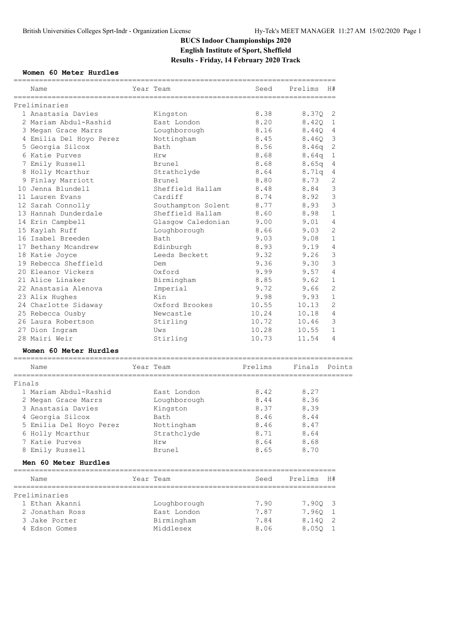# **BUCS Indoor Championships 2020 English Institute of Sport, Sheffield Results - Friday, 14 February 2020 Track**

## **Women 60 Meter Hurdles**

|        | Name                    | Year Team                     | Seed                        | Prelims       | H#                      |
|--------|-------------------------|-------------------------------|-----------------------------|---------------|-------------------------|
|        | Preliminaries           | ==============                |                             |               |                         |
|        | 1 Anastasia Davies      | Kingston                      | 8.38                        | 8.370         | 2                       |
|        | 2 Mariam Abdul-Rashid   | East London                   | 8.20                        | 8.420         | 1                       |
|        | 3 Megan Grace Marrs     | Loughborough                  | 8.16                        | 8.440         | 4                       |
|        | 4 Emilia Del Hoyo Perez | Nottingham                    | 8.45                        | 8.46Q         | 3                       |
|        | 5 Georgia Silcox        | Bath                          | 8.56                        | 8.46q         | 2                       |
|        | 6 Katie Purves          | Hrw                           | 8.68                        | 8.64q         | 1                       |
|        | 7 Emily Russell         | Brunel                        | 8.68                        | 8.65q         | 4                       |
|        | 8 Holly Mcarthur        | Strathclyde                   | 8.64                        | 8.71q         | 4                       |
|        | 9 Finlay Marriott       | Brunel                        | 8.80                        | 8.73          | 2                       |
|        | 10 Jenna Blundell       | Sheffield Hallam              | 8.48                        | 8.84          | 3                       |
|        | 11 Lauren Evans         | Cardiff                       | 8.74                        | 8.92          | 3                       |
|        | 12 Sarah Connolly       | Southampton Solent            | 8.77                        | 8.93          | 3                       |
|        | 13 Hannah Dunderdale    | Sheffield Hallam              | 8.60                        | 8.98          | $\mathbf 1$             |
|        | 14 Erin Campbell        | Glasgow Caledonian            | 9.00                        | 9.01          | 4                       |
|        | 15 Kaylah Ruff          | Loughborough                  | 8.66                        | 9.03          | $\mathfrak{D}$          |
|        | 16 Isabel Breeden       | Bath                          | 9.03                        | 9.08          | 1                       |
|        | 17 Bethany Mcandrew     | Edinburgh                     | 8.93                        | 9.19          | 4                       |
|        | 18 Katie Joyce          | Leeds Beckett                 | 9.32                        | 9.26          | 3                       |
|        | 19 Rebecca Sheffield    | Dem                           | 9.36                        | 9.30          | $\mathsf 3$             |
|        | 20 Eleanor Vickers      | Oxford                        | 9.99                        | 9.57          | 4                       |
|        | 21 Alice Linaker        | Birmingham                    | 8.85                        | 9.62          | $\mathbf{1}$            |
|        | 22 Anastasia Alenova    | Imperial                      | 9.72                        | 9.66          | $\overline{2}$          |
|        | 23 Alix Hughes          | Kin                           | 9.98                        | 9.93          | 1                       |
|        | 24 Charlotte Sidaway    | Oxford Brookes                | 10.55                       | 10.13         | $\overline{2}$          |
|        | 25 Rebecca Ousby        | Newcastle                     | 10.24                       | 10.18         | $\overline{4}$          |
|        | 26 Laura Robertson      | Stirling                      | 10.72                       | 10.46         | 3                       |
|        | 27 Dion Ingram          | Uws                           | 10.28                       | 10.55         | $\mathbf{1}$            |
|        | 28 Mairi Weir           | Stirling                      | 10.73                       | 11.54         | 4                       |
|        | Women 60 Meter Hurdles  |                               |                             |               |                         |
|        | Name<br>============    | Year Team<br>================ | Prelims<br>================ | Finals Points |                         |
| Finals |                         |                               |                             |               |                         |
|        | 1 Mariam Abdul-Rashid   | East London                   | 8.42                        | 8.27          |                         |
|        | 2 Megan Grace Marrs     | Loughborough                  | 8.44                        | 8.36          |                         |
|        | 3 Anastasia Davies      | Kingston                      | 8.37                        | 8.39          |                         |
|        | 4 Georgia Silcox        | Bath                          | 8.46                        | 8.44          |                         |
|        | 5 Emilia Del Hoyo Perez | Nottingham                    | 8.46                        | 8.47          |                         |
|        | 6 Holly Mcarthur        | Strathclyde                   | 8.71                        | 8.64          |                         |
|        | 7 Katie Purves          | Hrw                           | 8.64                        | 8.68          |                         |
|        | 8 Emily Russell         | Brunel                        | 8.65                        | 8.70          |                         |
|        | Men 60 Meter Hurdles    |                               |                             |               |                         |
|        | Name                    | Year Team                     | Seed                        | Prelims       | H#                      |
|        | Preliminaries           |                               |                             |               |                         |
|        | 1 Ethan Akanni          | Loughborough                  | 7.90                        | 7.90Q         | $\overline{\mathbf{3}}$ |
|        | 2 Jonathan Ross         | East London                   | 7.87                        | 7.96Q         | $\mathbf{1}$            |
|        | 3 Jake Porter           | Birmingham                    | 7.84                        | 8.14Q         | - 2                     |
|        | 4 Edson Gomes           | Middlesex                     | 8.06                        | 8.05Q         | 1                       |